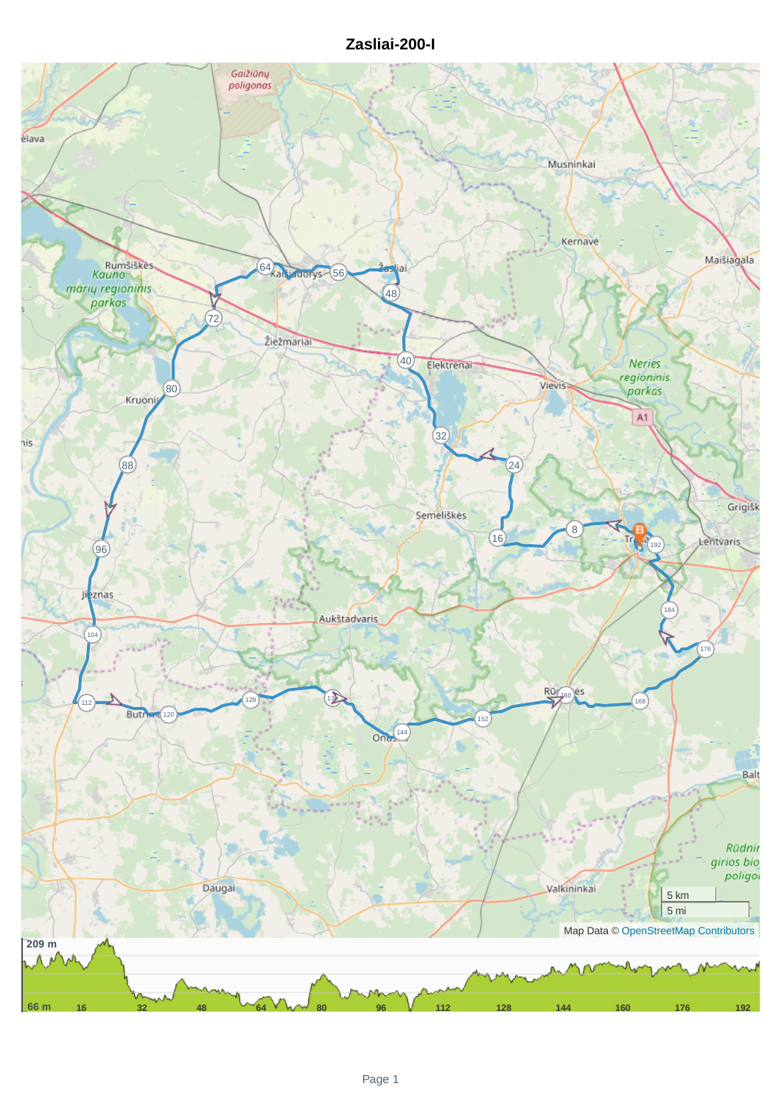## **Zasliai-200-I**

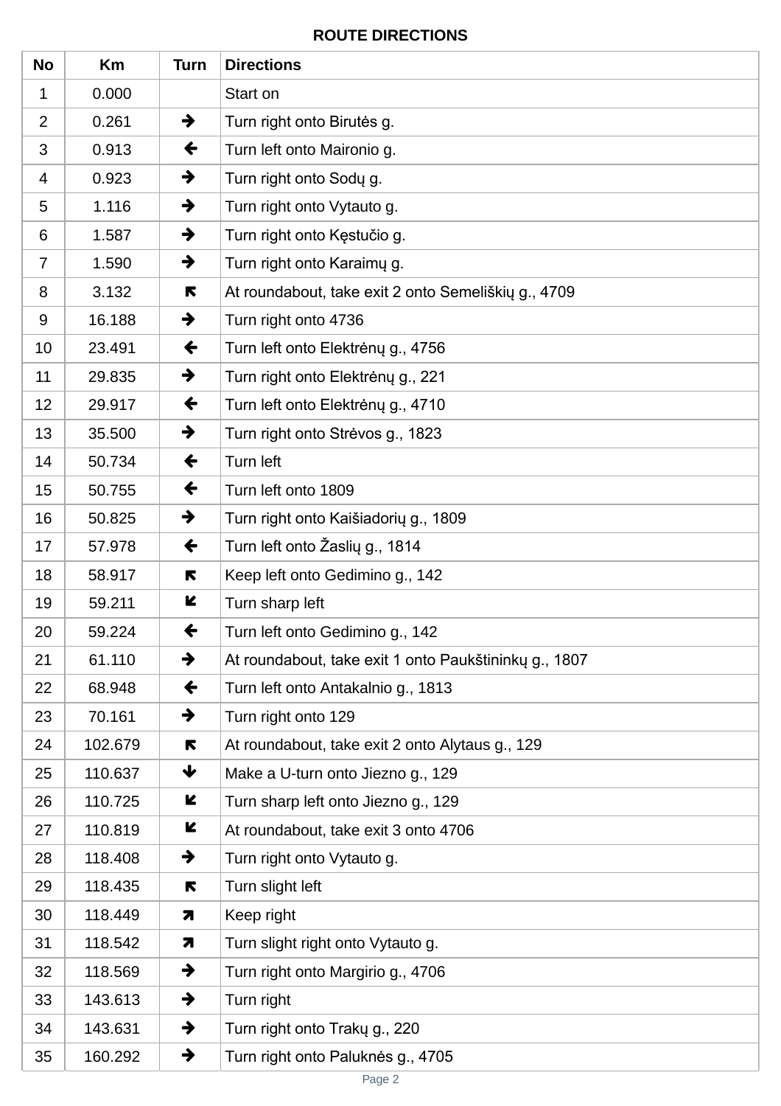## **ROUTE DIRECTIONS**

| <b>No</b>      | Km      | <b>Turn</b>   | <b>Directions</b>                                     |
|----------------|---------|---------------|-------------------------------------------------------|
| 1              | 0.000   |               | Start on                                              |
| $\overline{2}$ | 0.261   | $\rightarrow$ | Turn right onto Birutes g.                            |
| 3              | 0.913   | $\leftarrow$  | Turn left onto Maironio g.                            |
| 4              | 0.923   | →             | Turn right onto Sody g.                               |
| 5              | 1.116   | $\rightarrow$ | Turn right onto Vytauto g.                            |
| 6              | 1.587   | $\rightarrow$ | Turn right onto Kęstučio g.                           |
| $\overline{7}$ | 1.590   | $\rightarrow$ | Turn right onto Karaimy g.                            |
| 8              | 3.132   | R             | At roundabout, take exit 2 onto Semeliškių g., 4709   |
| 9              | 16.188  | →             | Turn right onto 4736                                  |
| 10             | 23.491  | $\leftarrow$  | Turn left onto Elektrėnų g., 4756                     |
| 11             | 29.835  | →             | Turn right onto Elektrėnų g., 221                     |
| 12             | 29.917  | $\leftarrow$  | Turn left onto Elektrėnų g., 4710                     |
| 13             | 35.500  | $\rightarrow$ | Turn right onto Strėvos g., 1823                      |
| 14             | 50.734  | $\leftarrow$  | Turn left                                             |
| 15             | 50.755  | $\leftarrow$  | Turn left onto 1809                                   |
| 16             | 50.825  | $\rightarrow$ | Turn right onto Kaišiadorių g., 1809                  |
| 17             | 57.978  | $\leftarrow$  | Turn left onto Žaslių g., 1814                        |
| 18             | 58.917  | R             | Keep left onto Gedimino g., 142                       |
| 19             | 59.211  | K             | Turn sharp left                                       |
| 20             | 59.224  | $\leftarrow$  | Turn left onto Gedimino g., 142                       |
| 21             | 61.110  | $\rightarrow$ | At roundabout, take exit 1 onto Paukštininky g., 1807 |
| 22             | 68.948  | ←             | Turn left onto Antakalnio g., 1813                    |
| 23             | 70.161  | $\rightarrow$ | Turn right onto 129                                   |
| 24             | 102.679 | R             | At roundabout, take exit 2 onto Alytaus g., 129       |
| 25             | 110.637 | ₩             | Make a U-turn onto Jiezno g., 129                     |
| 26             | 110.725 | K             | Turn sharp left onto Jiezno g., 129                   |
| 27             | 110.819 | K             | At roundabout, take exit 3 onto 4706                  |
| 28             | 118.408 | $\rightarrow$ | Turn right onto Vytauto g.                            |
| 29             | 118.435 | R             | Turn slight left                                      |
| 30             | 118.449 | 7             | Keep right                                            |
| 31             | 118.542 | 7             | Turn slight right onto Vytauto g.                     |
| 32             | 118.569 | $\rightarrow$ | Turn right onto Margirio g., 4706                     |
| 33             | 143.613 | $\rightarrow$ | Turn right                                            |
| 34             | 143.631 | $\rightarrow$ | Turn right onto Trakų g., 220                         |
| 35             | 160.292 | $\rightarrow$ | Turn right onto Paluknės g., 4705                     |